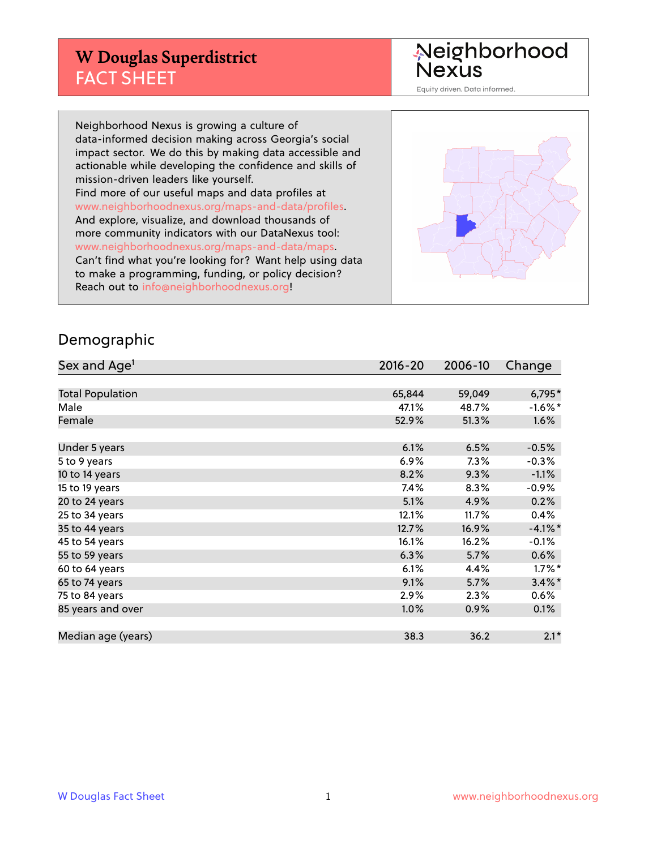## **W Douglas Superdistrict** FACT SHEET

Neighborhood<br>Nexus

Equity driven. Data informed.

Neighborhood Nexus is growing a culture of data-informed decision making across Georgia's social impact sector. We do this by making data accessible and actionable while developing the confidence and skills of mission-driven leaders like yourself. Find more of our useful maps and data profiles at www.neighborhoodnexus.org/maps-and-data/profiles. And explore, visualize, and download thousands of more community indicators with our DataNexus tool: www.neighborhoodnexus.org/maps-and-data/maps. Can't find what you're looking for? Want help using data to make a programming, funding, or policy decision? Reach out to [info@neighborhoodnexus.org!](mailto:info@neighborhoodnexus.org)



#### Demographic

| Sex and Age <sup>1</sup> | $2016 - 20$ | 2006-10 | Change     |
|--------------------------|-------------|---------|------------|
|                          |             |         |            |
| <b>Total Population</b>  | 65,844      | 59,049  | $6,795*$   |
| Male                     | 47.1%       | 48.7%   | $-1.6\%$ * |
| Female                   | 52.9%       | 51.3%   | 1.6%       |
|                          |             |         |            |
| Under 5 years            | 6.1%        | 6.5%    | $-0.5%$    |
| 5 to 9 years             | 6.9%        | 7.3%    | $-0.3%$    |
| 10 to 14 years           | 8.2%        | 9.3%    | $-1.1%$    |
| 15 to 19 years           | 7.4%        | 8.3%    | $-0.9%$    |
| 20 to 24 years           | 5.1%        | 4.9%    | 0.2%       |
| 25 to 34 years           | 12.1%       | 11.7%   | 0.4%       |
| 35 to 44 years           | 12.7%       | 16.9%   | $-4.1%$ *  |
| 45 to 54 years           | 16.1%       | 16.2%   | $-0.1%$    |
| 55 to 59 years           | 6.3%        | 5.7%    | 0.6%       |
| 60 to 64 years           | 6.1%        | 4.4%    | $1.7\%$ *  |
| 65 to 74 years           | 9.1%        | 5.7%    | $3.4\%$ *  |
| 75 to 84 years           | 2.9%        | 2.3%    | 0.6%       |
| 85 years and over        | 1.0%        | 0.9%    | 0.1%       |
|                          |             |         |            |
| Median age (years)       | 38.3        | 36.2    | $2.1*$     |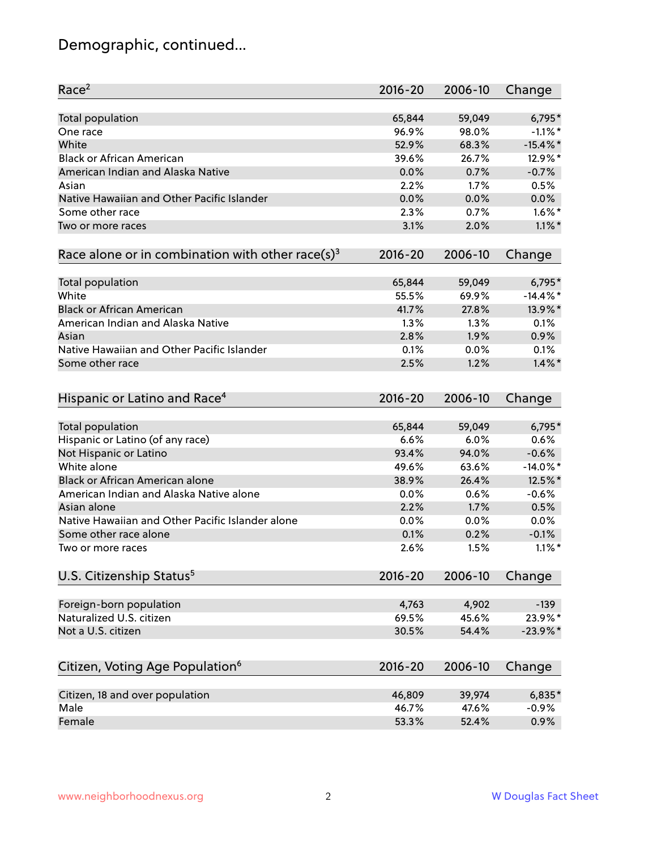## Demographic, continued...

| Race <sup>2</sup>                                            | $2016 - 20$ | 2006-10 | Change      |
|--------------------------------------------------------------|-------------|---------|-------------|
| <b>Total population</b>                                      | 65,844      | 59,049  | 6,795*      |
| One race                                                     | 96.9%       | 98.0%   | $-1.1\%$ *  |
| White                                                        | 52.9%       | 68.3%   | $-15.4\%$ * |
| <b>Black or African American</b>                             | 39.6%       | 26.7%   | 12.9%*      |
| American Indian and Alaska Native                            | 0.0%        | 0.7%    | $-0.7%$     |
| Asian                                                        | 2.2%        | 1.7%    | 0.5%        |
| Native Hawaiian and Other Pacific Islander                   | 0.0%        | 0.0%    | 0.0%        |
| Some other race                                              | 2.3%        | 0.7%    | $1.6\%$ *   |
| Two or more races                                            | 3.1%        | 2.0%    | $1.1\%$ *   |
| Race alone or in combination with other race(s) <sup>3</sup> | $2016 - 20$ | 2006-10 | Change      |
| Total population                                             | 65,844      | 59,049  | 6,795*      |
| White                                                        | 55.5%       | 69.9%   | $-14.4\%$ * |
| <b>Black or African American</b>                             | 41.7%       | 27.8%   | 13.9%*      |
| American Indian and Alaska Native                            | 1.3%        | 1.3%    | 0.1%        |
| Asian                                                        | 2.8%        | 1.9%    | 0.9%        |
| Native Hawaiian and Other Pacific Islander                   | 0.1%        | 0.0%    | 0.1%        |
| Some other race                                              | 2.5%        | 1.2%    | $1.4\%$ *   |
| Hispanic or Latino and Race <sup>4</sup>                     | $2016 - 20$ | 2006-10 | Change      |
| Total population                                             | 65,844      | 59,049  | 6,795*      |
| Hispanic or Latino (of any race)                             | 6.6%        | 6.0%    | 0.6%        |
| Not Hispanic or Latino                                       | 93.4%       | 94.0%   | $-0.6%$     |
| White alone                                                  | 49.6%       | 63.6%   | $-14.0\%$ * |
| <b>Black or African American alone</b>                       | 38.9%       | 26.4%   | 12.5%*      |
| American Indian and Alaska Native alone                      | 0.0%        | 0.6%    | $-0.6%$     |
| Asian alone                                                  | 2.2%        | 1.7%    | 0.5%        |
| Native Hawaiian and Other Pacific Islander alone             | 0.0%        | 0.0%    | 0.0%        |
| Some other race alone                                        | 0.1%        | 0.2%    | $-0.1%$     |
| Two or more races                                            | 2.6%        | 1.5%    | $1.1\%$ *   |
| U.S. Citizenship Status <sup>5</sup>                         | $2016 - 20$ | 2006-10 | Change      |
| Foreign-born population                                      | 4,763       | 4,902   | $-139$      |
| Naturalized U.S. citizen                                     | 69.5%       | 45.6%   | 23.9%*      |
| Not a U.S. citizen                                           | 30.5%       | 54.4%   | $-23.9\%$ * |
|                                                              |             |         |             |
| Citizen, Voting Age Population <sup>6</sup>                  | $2016 - 20$ | 2006-10 | Change      |
| Citizen, 18 and over population                              | 46,809      | 39,974  | $6,835*$    |
| Male                                                         | 46.7%       | 47.6%   | $-0.9%$     |
| Female                                                       | 53.3%       | 52.4%   | 0.9%        |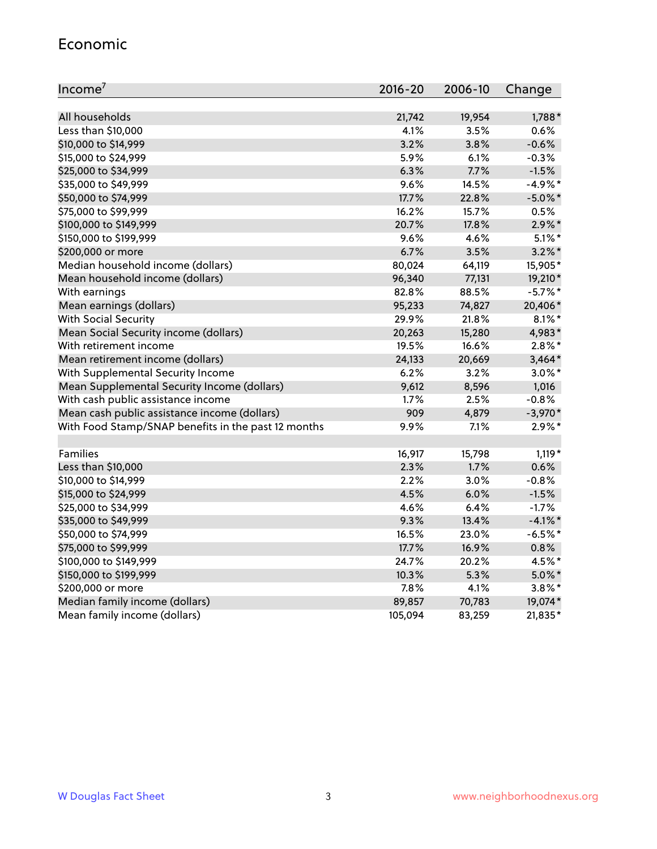#### Economic

| Income <sup>7</sup>                                 | 2016-20 | 2006-10 | Change     |
|-----------------------------------------------------|---------|---------|------------|
|                                                     |         |         |            |
| All households                                      | 21,742  | 19,954  | $1,788*$   |
| Less than \$10,000                                  | 4.1%    | 3.5%    | 0.6%       |
| \$10,000 to \$14,999                                | 3.2%    | 3.8%    | $-0.6%$    |
| \$15,000 to \$24,999                                | 5.9%    | 6.1%    | $-0.3%$    |
| \$25,000 to \$34,999                                | 6.3%    | 7.7%    | $-1.5%$    |
| \$35,000 to \$49,999                                | 9.6%    | 14.5%   | $-4.9%$ *  |
| \$50,000 to \$74,999                                | 17.7%   | 22.8%   | $-5.0\%$ * |
| \$75,000 to \$99,999                                | 16.2%   | 15.7%   | 0.5%       |
| \$100,000 to \$149,999                              | 20.7%   | 17.8%   | $2.9\%$ *  |
| \$150,000 to \$199,999                              | 9.6%    | 4.6%    | $5.1\%$ *  |
| \$200,000 or more                                   | 6.7%    | 3.5%    | $3.2\%$ *  |
| Median household income (dollars)                   | 80,024  | 64,119  | 15,905*    |
| Mean household income (dollars)                     | 96,340  | 77,131  | 19,210*    |
| With earnings                                       | 82.8%   | 88.5%   | $-5.7%$ *  |
| Mean earnings (dollars)                             | 95,233  | 74,827  | 20,406*    |
| <b>With Social Security</b>                         | 29.9%   | 21.8%   | $8.1\%$ *  |
| Mean Social Security income (dollars)               | 20,263  | 15,280  | 4,983*     |
| With retirement income                              | 19.5%   | 16.6%   | $2.8\%$ *  |
| Mean retirement income (dollars)                    | 24,133  | 20,669  | $3,464*$   |
| With Supplemental Security Income                   | 6.2%    | 3.2%    | $3.0\%$ *  |
| Mean Supplemental Security Income (dollars)         | 9,612   | 8,596   | 1,016      |
| With cash public assistance income                  | 1.7%    | 2.5%    | $-0.8%$    |
| Mean cash public assistance income (dollars)        | 909     | 4,879   | $-3,970*$  |
| With Food Stamp/SNAP benefits in the past 12 months | 9.9%    | 7.1%    | $2.9\%$ *  |
|                                                     |         |         |            |
| Families                                            | 16,917  | 15,798  | $1,119*$   |
| Less than \$10,000                                  | 2.3%    | 1.7%    | 0.6%       |
| \$10,000 to \$14,999                                | 2.2%    | 3.0%    | $-0.8%$    |
| \$15,000 to \$24,999                                | 4.5%    | 6.0%    | $-1.5%$    |
| \$25,000 to \$34,999                                | 4.6%    | 6.4%    | $-1.7%$    |
| \$35,000 to \$49,999                                | 9.3%    | 13.4%   | $-4.1\%$ * |
| \$50,000 to \$74,999                                | 16.5%   | 23.0%   | $-6.5%$ *  |
| \$75,000 to \$99,999                                | 17.7%   | 16.9%   | 0.8%       |
| \$100,000 to \$149,999                              | 24.7%   | 20.2%   | 4.5%*      |
| \$150,000 to \$199,999                              | 10.3%   | 5.3%    | $5.0\%$ *  |
| \$200,000 or more                                   | 7.8%    | 4.1%    | $3.8\%$ *  |
| Median family income (dollars)                      | 89,857  | 70,783  | 19,074*    |
| Mean family income (dollars)                        | 105,094 | 83,259  | 21,835*    |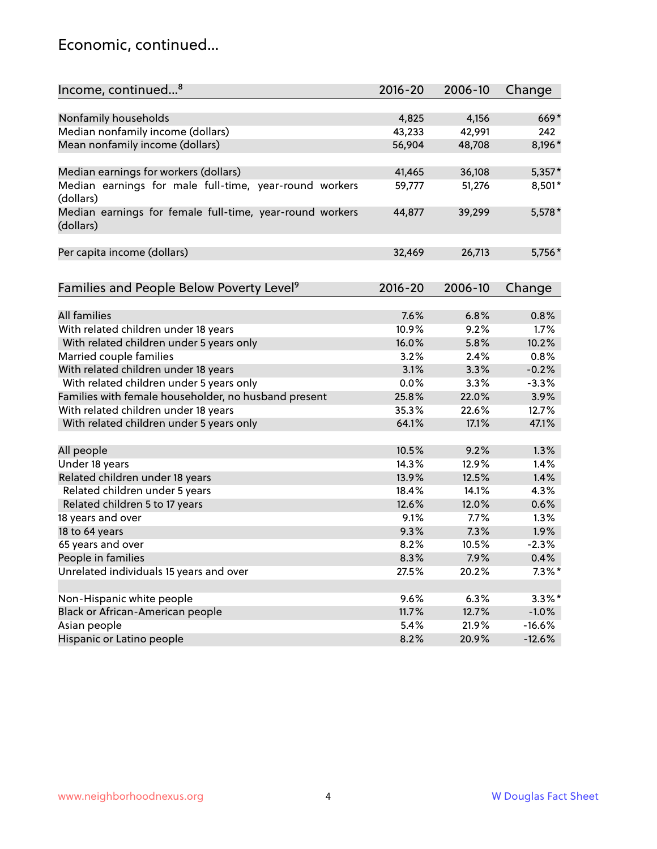#### Economic, continued...

| Income, continued <sup>8</sup>                                        | $2016 - 20$ | 2006-10 | Change    |
|-----------------------------------------------------------------------|-------------|---------|-----------|
|                                                                       |             |         |           |
| Nonfamily households                                                  | 4,825       | 4,156   | 669*      |
| Median nonfamily income (dollars)                                     | 43,233      | 42,991  | 242       |
| Mean nonfamily income (dollars)                                       | 56,904      | 48,708  | 8,196*    |
| Median earnings for workers (dollars)                                 | 41,465      | 36,108  | $5,357*$  |
| Median earnings for male full-time, year-round workers                | 59,777      | 51,276  | 8,501*    |
| (dollars)                                                             |             |         |           |
| Median earnings for female full-time, year-round workers<br>(dollars) | 44,877      | 39,299  | 5,578 *   |
| Per capita income (dollars)                                           | 32,469      | 26,713  | 5,756*    |
|                                                                       |             |         |           |
| Families and People Below Poverty Level <sup>9</sup>                  | $2016 - 20$ | 2006-10 | Change    |
|                                                                       |             |         |           |
| <b>All families</b>                                                   | 7.6%        | 6.8%    | 0.8%      |
| With related children under 18 years                                  | 10.9%       | 9.2%    | 1.7%      |
| With related children under 5 years only                              | 16.0%       | 5.8%    | 10.2%     |
| Married couple families                                               | 3.2%        | 2.4%    | 0.8%      |
| With related children under 18 years                                  | 3.1%        | 3.3%    | $-0.2%$   |
| With related children under 5 years only                              | 0.0%        | 3.3%    | $-3.3%$   |
| Families with female householder, no husband present                  | 25.8%       | 22.0%   | 3.9%      |
| With related children under 18 years                                  | 35.3%       | 22.6%   | 12.7%     |
| With related children under 5 years only                              | 64.1%       | 17.1%   | 47.1%     |
| All people                                                            | 10.5%       | 9.2%    | 1.3%      |
| Under 18 years                                                        | 14.3%       | 12.9%   | 1.4%      |
| Related children under 18 years                                       | 13.9%       | 12.5%   | 1.4%      |
| Related children under 5 years                                        | 18.4%       | 14.1%   | 4.3%      |
| Related children 5 to 17 years                                        | 12.6%       | 12.0%   | 0.6%      |
| 18 years and over                                                     | 9.1%        | 7.7%    | 1.3%      |
| 18 to 64 years                                                        | 9.3%        | 7.3%    | 1.9%      |
| 65 years and over                                                     | 8.2%        | 10.5%   | $-2.3%$   |
| People in families                                                    | 8.3%        | 7.9%    | 0.4%      |
| Unrelated individuals 15 years and over                               | 27.5%       | 20.2%   | $7.3\%$ * |
|                                                                       |             |         |           |
|                                                                       |             |         | $3.3\%$ * |
| Non-Hispanic white people                                             | 9.6%        | 6.3%    |           |
| Black or African-American people                                      | 11.7%       | 12.7%   | $-1.0%$   |
| Asian people                                                          | 5.4%        | 21.9%   | $-16.6%$  |
| Hispanic or Latino people                                             | 8.2%        | 20.9%   | $-12.6%$  |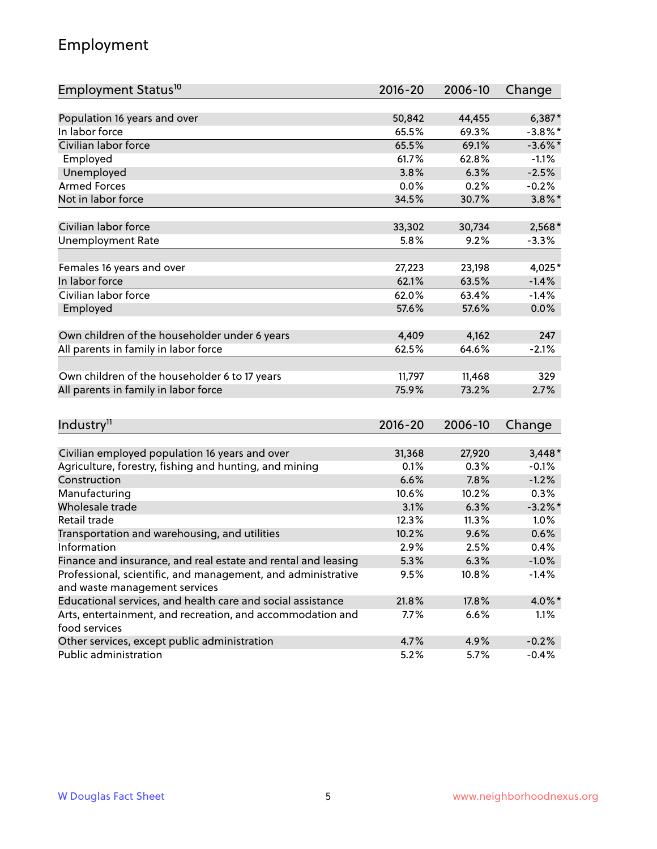## Employment

| Employment Status <sup>10</sup>                                                               | $2016 - 20$ | 2006-10 | Change     |
|-----------------------------------------------------------------------------------------------|-------------|---------|------------|
|                                                                                               |             |         |            |
| Population 16 years and over                                                                  | 50,842      | 44,455  | $6,387*$   |
| In labor force                                                                                | 65.5%       | 69.3%   | $-3.8\%$ * |
| Civilian labor force                                                                          | 65.5%       | 69.1%   | $-3.6\%$ * |
| Employed                                                                                      | 61.7%       | 62.8%   | $-1.1%$    |
| Unemployed                                                                                    | 3.8%        | 6.3%    | $-2.5%$    |
| <b>Armed Forces</b>                                                                           | 0.0%        | 0.2%    | $-0.2%$    |
| Not in labor force                                                                            | 34.5%       | 30.7%   | $3.8\%$ *  |
| Civilian labor force                                                                          | 33,302      | 30,734  | $2,568*$   |
| <b>Unemployment Rate</b>                                                                      | 5.8%        | 9.2%    | $-3.3%$    |
|                                                                                               |             |         |            |
| Females 16 years and over                                                                     | 27,223      | 23,198  | 4,025*     |
| In labor force                                                                                | 62.1%       | 63.5%   | $-1.4%$    |
| Civilian labor force                                                                          | 62.0%       | 63.4%   | $-1.4%$    |
| Employed                                                                                      | 57.6%       | 57.6%   | 0.0%       |
| Own children of the householder under 6 years                                                 | 4,409       | 4,162   | 247        |
| All parents in family in labor force                                                          | 62.5%       | 64.6%   | $-2.1%$    |
|                                                                                               |             |         |            |
| Own children of the householder 6 to 17 years                                                 | 11,797      | 11,468  | 329        |
| All parents in family in labor force                                                          | 75.9%       | 73.2%   | 2.7%       |
|                                                                                               |             |         |            |
| Industry <sup>11</sup>                                                                        | $2016 - 20$ | 2006-10 | Change     |
|                                                                                               |             |         |            |
| Civilian employed population 16 years and over                                                | 31,368      | 27,920  | $3,448*$   |
| Agriculture, forestry, fishing and hunting, and mining                                        | 0.1%        | 0.3%    | $-0.1%$    |
| Construction                                                                                  | 6.6%        | 7.8%    | $-1.2%$    |
| Manufacturing                                                                                 | 10.6%       | 10.2%   | 0.3%       |
| Wholesale trade<br>Retail trade                                                               | 3.1%        | 6.3%    | $-3.2\%$ * |
|                                                                                               | 12.3%       | 11.3%   | 1.0%       |
| Transportation and warehousing, and utilities<br>Information                                  | 10.2%       | 9.6%    | 0.6%       |
|                                                                                               | 2.9%        | 2.5%    | 0.4%       |
| Finance and insurance, and real estate and rental and leasing                                 | 5.3%        | 6.3%    | $-1.0%$    |
| Professional, scientific, and management, and administrative<br>and waste management services | 9.5%        | 10.8%   | $-1.4%$    |
| Educational services, and health care and social assistance                                   | 21.8%       | 17.8%   | 4.0%*      |
| Arts, entertainment, and recreation, and accommodation and                                    | 7.7%        | 6.6%    | 1.1%       |
| food services                                                                                 |             |         |            |
| Other services, except public administration                                                  | 4.7%        | 4.9%    | $-0.2%$    |
| Public administration                                                                         | 5.2%        | 5.7%    | $-0.4%$    |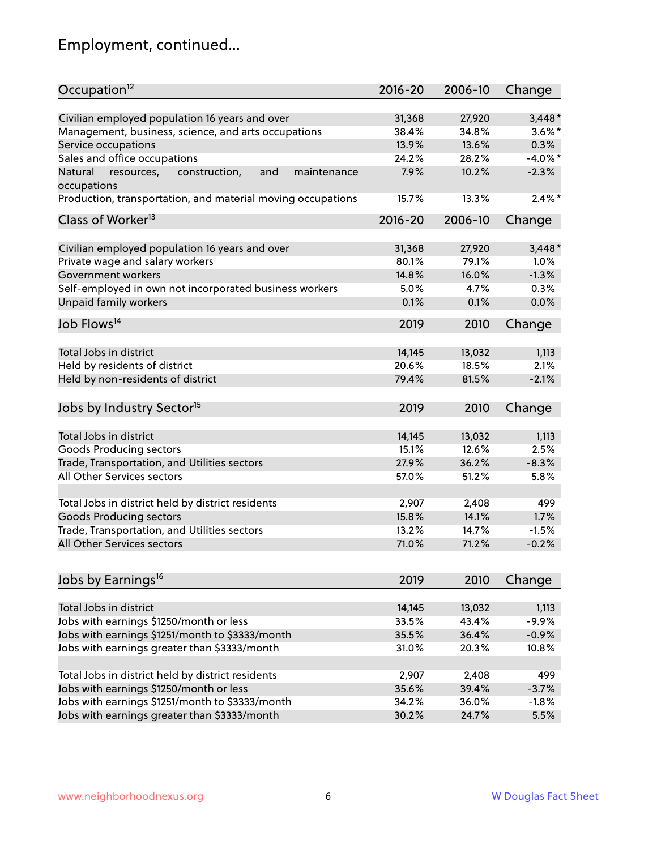## Employment, continued...

| Occupation <sup>12</sup>                                                    | $2016 - 20$ | 2006-10 | Change     |
|-----------------------------------------------------------------------------|-------------|---------|------------|
| Civilian employed population 16 years and over                              | 31,368      | 27,920  | $3,448*$   |
| Management, business, science, and arts occupations                         | 38.4%       | 34.8%   | $3.6\%$ *  |
| Service occupations                                                         | 13.9%       | 13.6%   | 0.3%       |
| Sales and office occupations                                                | 24.2%       | 28.2%   | $-4.0\%$ * |
|                                                                             |             |         | $-2.3%$    |
| Natural<br>and<br>resources,<br>construction,<br>maintenance<br>occupations | 7.9%        | 10.2%   |            |
| Production, transportation, and material moving occupations                 | 15.7%       | 13.3%   | $2.4\%$ *  |
| Class of Worker <sup>13</sup>                                               | $2016 - 20$ | 2006-10 | Change     |
|                                                                             |             |         |            |
| Civilian employed population 16 years and over                              | 31,368      | 27,920  | $3,448*$   |
| Private wage and salary workers                                             | 80.1%       | 79.1%   | 1.0%       |
| Government workers                                                          | 14.8%       | 16.0%   | $-1.3%$    |
| Self-employed in own not incorporated business workers                      | 5.0%        | 4.7%    | 0.3%       |
| Unpaid family workers                                                       | 0.1%        | 0.1%    | 0.0%       |
| Job Flows <sup>14</sup>                                                     | 2019        | 2010    | Change     |
|                                                                             |             |         |            |
| Total Jobs in district                                                      | 14,145      | 13,032  | 1,113      |
| Held by residents of district                                               | 20.6%       | 18.5%   | 2.1%       |
| Held by non-residents of district                                           | 79.4%       | 81.5%   | $-2.1%$    |
| Jobs by Industry Sector <sup>15</sup>                                       | 2019        | 2010    | Change     |
| Total Jobs in district                                                      |             |         |            |
|                                                                             | 14,145      | 13,032  | 1,113      |
| Goods Producing sectors                                                     | 15.1%       | 12.6%   | 2.5%       |
| Trade, Transportation, and Utilities sectors                                | 27.9%       | 36.2%   | $-8.3%$    |
| All Other Services sectors                                                  | 57.0%       | 51.2%   | 5.8%       |
| Total Jobs in district held by district residents                           | 2,907       | 2,408   | 499        |
| <b>Goods Producing sectors</b>                                              | 15.8%       | 14.1%   | 1.7%       |
| Trade, Transportation, and Utilities sectors                                | 13.2%       | 14.7%   | $-1.5%$    |
| All Other Services sectors                                                  | 71.0%       | 71.2%   | $-0.2%$    |
|                                                                             |             |         |            |
| Jobs by Earnings <sup>16</sup>                                              | 2019        | 2010    | Change     |
|                                                                             |             |         |            |
| Total Jobs in district                                                      | 14,145      | 13,032  | 1,113      |
| Jobs with earnings \$1250/month or less                                     | 33.5%       | 43.4%   | $-9.9%$    |
| Jobs with earnings \$1251/month to \$3333/month                             | 35.5%       | 36.4%   | $-0.9%$    |
| Jobs with earnings greater than \$3333/month                                | 31.0%       | 20.3%   | 10.8%      |
| Total Jobs in district held by district residents                           | 2,907       | 2,408   | 499        |
| Jobs with earnings \$1250/month or less                                     | 35.6%       | 39.4%   | $-3.7%$    |
| Jobs with earnings \$1251/month to \$3333/month                             | 34.2%       | 36.0%   | $-1.8%$    |
| Jobs with earnings greater than \$3333/month                                | 30.2%       | 24.7%   | 5.5%       |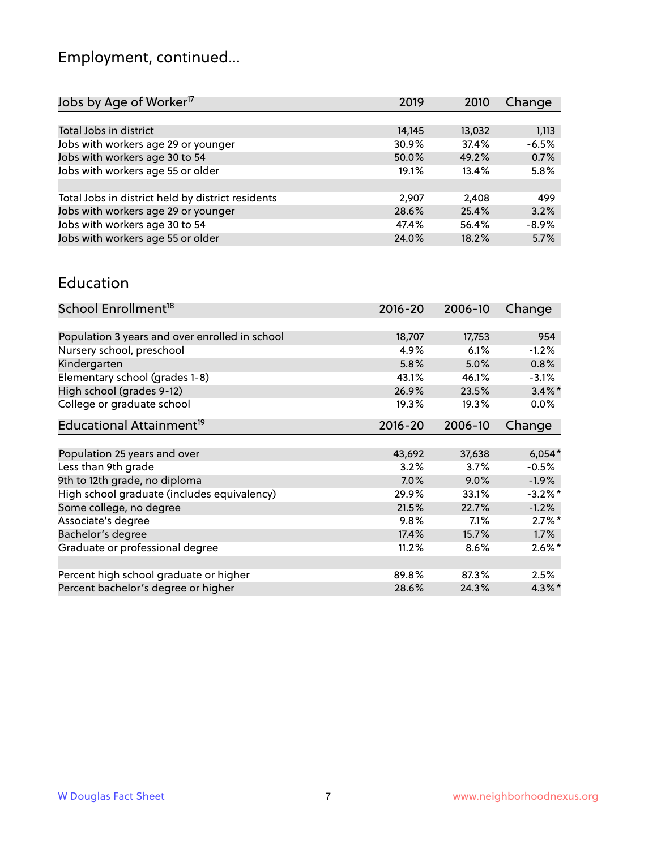# Employment, continued...

| 2019   | 2010   | Change  |
|--------|--------|---------|
|        |        |         |
| 14,145 | 13,032 | 1,113   |
| 30.9%  | 37.4%  | $-6.5%$ |
| 50.0%  | 49.2%  | 0.7%    |
| 19.1%  | 13.4%  | 5.8%    |
|        |        |         |
| 2,907  | 2,408  | 499     |
| 28.6%  | 25.4%  | 3.2%    |
| 47.4%  | 56.4%  | $-8.9%$ |
| 24.0%  | 18.2%  | 5.7%    |
|        |        |         |

#### Education

| School Enrollment <sup>18</sup>                | $2016 - 20$ | 2006-10 | Change     |
|------------------------------------------------|-------------|---------|------------|
|                                                |             |         |            |
| Population 3 years and over enrolled in school | 18,707      | 17,753  | 954        |
| Nursery school, preschool                      | 4.9%        | 6.1%    | $-1.2%$    |
| Kindergarten                                   | 5.8%        | 5.0%    | 0.8%       |
| Elementary school (grades 1-8)                 | 43.1%       | 46.1%   | $-3.1%$    |
| High school (grades 9-12)                      | 26.9%       | 23.5%   | $3.4\%$ *  |
| College or graduate school                     | 19.3%       | 19.3%   | $0.0\%$    |
| Educational Attainment <sup>19</sup>           | $2016 - 20$ | 2006-10 | Change     |
|                                                |             |         |            |
| Population 25 years and over                   | 43,692      | 37,638  | $6,054*$   |
| Less than 9th grade                            | 3.2%        | 3.7%    | $-0.5%$    |
| 9th to 12th grade, no diploma                  | 7.0%        | 9.0%    | $-1.9%$    |
| High school graduate (includes equivalency)    | 29.9%       | 33.1%   | $-3.2\%$ * |
| Some college, no degree                        | 21.5%       | 22.7%   | $-1.2%$    |
| Associate's degree                             | 9.8%        | $7.1\%$ | $2.7\%$ *  |
| Bachelor's degree                              | 17.4%       | 15.7%   | 1.7%       |
| Graduate or professional degree                | 11.2%       | 8.6%    | $2.6\%$ *  |
|                                                |             |         |            |
| Percent high school graduate or higher         | 89.8%       | 87.3%   | 2.5%       |
| Percent bachelor's degree or higher            | 28.6%       | 24.3%   | $4.3\%$ *  |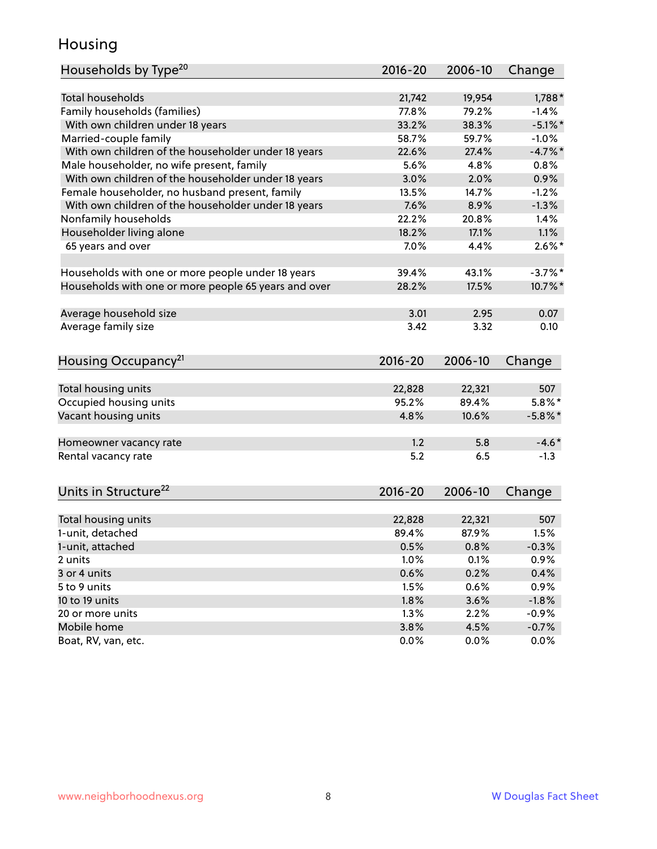#### Housing

| Households by Type <sup>20</sup>                     | 2016-20     | 2006-10 | Change     |
|------------------------------------------------------|-------------|---------|------------|
|                                                      |             |         |            |
| Total households                                     | 21,742      | 19,954  | $1,788*$   |
| Family households (families)                         | 77.8%       | 79.2%   | $-1.4%$    |
| With own children under 18 years                     | 33.2%       | 38.3%   | $-5.1\%$ * |
| Married-couple family                                | 58.7%       | 59.7%   | $-1.0%$    |
| With own children of the householder under 18 years  | 22.6%       | 27.4%   | $-4.7\%$ * |
| Male householder, no wife present, family            | 5.6%        | 4.8%    | 0.8%       |
| With own children of the householder under 18 years  | 3.0%        | 2.0%    | 0.9%       |
| Female householder, no husband present, family       | 13.5%       | 14.7%   | $-1.2%$    |
| With own children of the householder under 18 years  | 7.6%        | 8.9%    | $-1.3%$    |
| Nonfamily households                                 | 22.2%       | 20.8%   | 1.4%       |
| Householder living alone                             | 18.2%       | 17.1%   | 1.1%       |
| 65 years and over                                    | 7.0%        | 4.4%    | $2.6\%$ *  |
| Households with one or more people under 18 years    | 39.4%       | 43.1%   | $-3.7%$ *  |
| Households with one or more people 65 years and over | 28.2%       | 17.5%   | 10.7%*     |
| Average household size                               | 3.01        | 2.95    | 0.07       |
| Average family size                                  | 3.42        | 3.32    | 0.10       |
|                                                      |             |         |            |
| Housing Occupancy <sup>21</sup>                      | $2016 - 20$ | 2006-10 | Change     |
| Total housing units                                  | 22,828      | 22,321  | 507        |
| Occupied housing units                               | 95.2%       | 89.4%   | $5.8\%$ *  |
| Vacant housing units                                 | 4.8%        | 10.6%   | $-5.8\%$ * |
|                                                      |             |         |            |
| Homeowner vacancy rate                               | 1.2         | 5.8     | $-4.6*$    |
| Rental vacancy rate                                  | 5.2         | 6.5     | $-1.3$     |
| Units in Structure <sup>22</sup>                     | 2016-20     | 2006-10 | Change     |
|                                                      |             |         |            |
| Total housing units                                  | 22,828      | 22,321  | 507        |
| 1-unit, detached                                     | 89.4%       | 87.9%   | 1.5%       |
| 1-unit, attached                                     | 0.5%        | 0.8%    | $-0.3%$    |
| 2 units                                              | 1.0%        | 0.1%    | 0.9%       |
| 3 or 4 units                                         | 0.6%        | 0.2%    | 0.4%       |
| 5 to 9 units                                         | 1.5%        | 0.6%    | 0.9%       |
| 10 to 19 units                                       | 1.8%        | 3.6%    | $-1.8%$    |
| 20 or more units                                     | 1.3%        | 2.2%    | $-0.9%$    |
| Mobile home                                          | 3.8%        | 4.5%    | $-0.7%$    |
| Boat, RV, van, etc.                                  | 0.0%        | $0.0\%$ | 0.0%       |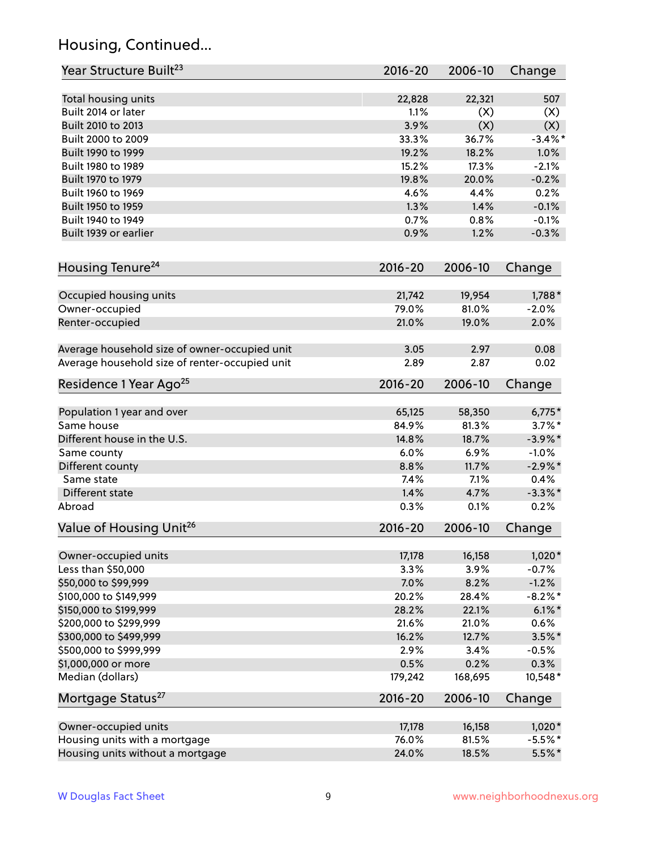## Housing, Continued...

| Year Structure Built <sup>23</sup>             | 2016-20     | 2006-10 | Change     |
|------------------------------------------------|-------------|---------|------------|
| Total housing units                            | 22,828      | 22,321  | 507        |
| Built 2014 or later                            | 1.1%        | (X)     | (X)        |
| Built 2010 to 2013                             | 3.9%        | (X)     | (X)        |
| Built 2000 to 2009                             | 33.3%       | 36.7%   | $-3.4\%$ * |
| Built 1990 to 1999                             | 19.2%       | 18.2%   | 1.0%       |
| Built 1980 to 1989                             | 15.2%       | 17.3%   | $-2.1%$    |
| Built 1970 to 1979                             | 19.8%       | 20.0%   | $-0.2%$    |
| Built 1960 to 1969                             | 4.6%        | 4.4%    | 0.2%       |
| Built 1950 to 1959                             | 1.3%        | 1.4%    | $-0.1%$    |
| Built 1940 to 1949                             | 0.7%        | 0.8%    | $-0.1%$    |
| Built 1939 or earlier                          | 0.9%        | 1.2%    | $-0.3%$    |
| Housing Tenure <sup>24</sup>                   | $2016 - 20$ | 2006-10 | Change     |
|                                                |             |         |            |
| Occupied housing units                         | 21,742      | 19,954  | 1,788*     |
| Owner-occupied                                 | 79.0%       | 81.0%   | $-2.0%$    |
| Renter-occupied                                | 21.0%       | 19.0%   | 2.0%       |
| Average household size of owner-occupied unit  | 3.05        | 2.97    | 0.08       |
| Average household size of renter-occupied unit | 2.89        | 2.87    | 0.02       |
| Residence 1 Year Ago <sup>25</sup>             | $2016 - 20$ | 2006-10 | Change     |
|                                                |             |         |            |
| Population 1 year and over                     | 65,125      | 58,350  | $6,775*$   |
| Same house                                     | 84.9%       | 81.3%   | $3.7\%$ *  |
| Different house in the U.S.                    | 14.8%       | 18.7%   | $-3.9\%$ * |
| Same county                                    | 6.0%        | 6.9%    | $-1.0%$    |
| Different county                               | 8.8%        | 11.7%   | $-2.9\%$ * |
| Same state                                     | 7.4%        | 7.1%    | 0.4%       |
| Different state                                | 1.4%        | 4.7%    | $-3.3\%$ * |
| Abroad                                         | 0.3%        | 0.1%    | 0.2%       |
| Value of Housing Unit <sup>26</sup>            | $2016 - 20$ | 2006-10 | Change     |
| Owner-occupied units                           | 17,178      | 16,158  | $1,020*$   |
| Less than \$50,000                             | 3.3%        | 3.9%    | $-0.7%$    |
| \$50,000 to \$99,999                           | 7.0%        | 8.2%    | $-1.2%$    |
| \$100,000 to \$149,999                         | 20.2%       | 28.4%   | $-8.2\%$ * |
| \$150,000 to \$199,999                         | 28.2%       | 22.1%   | $6.1\%$ *  |
| \$200,000 to \$299,999                         | 21.6%       | 21.0%   | 0.6%       |
| \$300,000 to \$499,999                         | 16.2%       | 12.7%   | $3.5\%$ *  |
| \$500,000 to \$999,999                         | 2.9%        | 3.4%    | $-0.5%$    |
| \$1,000,000 or more                            | 0.5%        | 0.2%    | 0.3%       |
| Median (dollars)                               | 179,242     | 168,695 | 10,548*    |
| Mortgage Status <sup>27</sup>                  | $2016 - 20$ | 2006-10 | Change     |
| Owner-occupied units                           | 17,178      | 16,158  | $1,020*$   |
| Housing units with a mortgage                  | 76.0%       | 81.5%   | $-5.5%$ *  |
| Housing units without a mortgage               | 24.0%       | 18.5%   | $5.5%$ *   |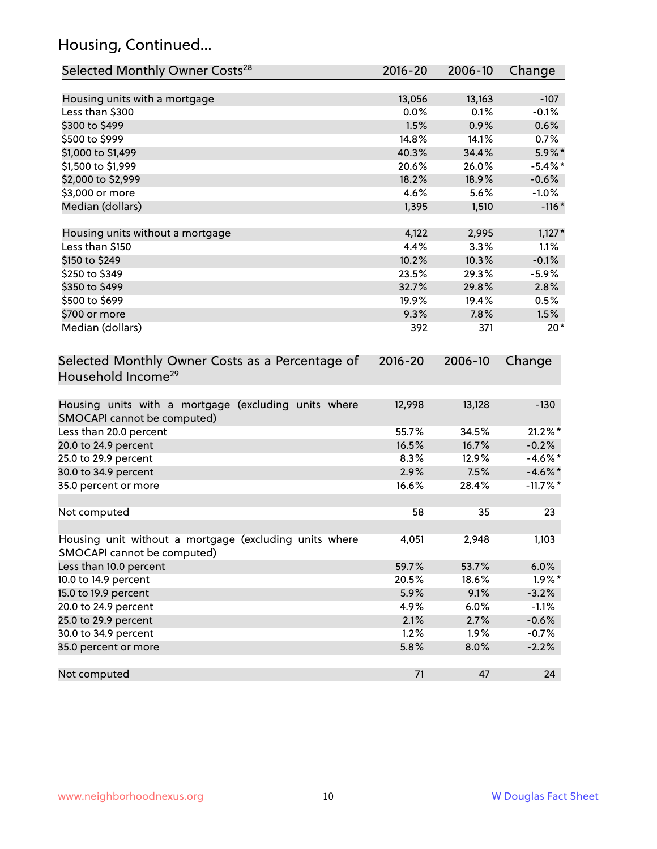## Housing, Continued...

| Selected Monthly Owner Costs <sup>28</sup>                                            | 2016-20 | 2006-10 | Change      |
|---------------------------------------------------------------------------------------|---------|---------|-------------|
| Housing units with a mortgage                                                         | 13,056  | 13,163  | $-107$      |
| Less than \$300                                                                       | 0.0%    | 0.1%    | $-0.1%$     |
| \$300 to \$499                                                                        | 1.5%    | 0.9%    | 0.6%        |
| \$500 to \$999                                                                        | 14.8%   | 14.1%   | 0.7%        |
| \$1,000 to \$1,499                                                                    | 40.3%   | 34.4%   | 5.9%*       |
| \$1,500 to \$1,999                                                                    | 20.6%   | 26.0%   | $-5.4\%$ *  |
| \$2,000 to \$2,999                                                                    | 18.2%   | 18.9%   | $-0.6%$     |
| \$3,000 or more                                                                       | 4.6%    | 5.6%    | $-1.0%$     |
| Median (dollars)                                                                      | 1,395   | 1,510   | $-116*$     |
| Housing units without a mortgage                                                      | 4,122   | 2,995   | $1,127*$    |
| Less than \$150                                                                       | 4.4%    | 3.3%    | 1.1%        |
| \$150 to \$249                                                                        | 10.2%   | 10.3%   | $-0.1%$     |
| \$250 to \$349                                                                        | 23.5%   | 29.3%   | $-5.9%$     |
| \$350 to \$499                                                                        | 32.7%   | 29.8%   | 2.8%        |
| \$500 to \$699                                                                        | 19.9%   | 19.4%   | 0.5%        |
| \$700 or more                                                                         | 9.3%    | 7.8%    | 1.5%        |
| Median (dollars)                                                                      | 392     | 371     | $20*$       |
| Household Income <sup>29</sup>                                                        |         |         |             |
| Housing units with a mortgage (excluding units where<br>SMOCAPI cannot be computed)   | 12,998  | 13,128  | $-130$      |
| Less than 20.0 percent                                                                | 55.7%   | 34.5%   | $21.2\%$ *  |
| 20.0 to 24.9 percent                                                                  | 16.5%   | 16.7%   | $-0.2%$     |
| 25.0 to 29.9 percent                                                                  | 8.3%    | 12.9%   | $-4.6\%$ *  |
| 30.0 to 34.9 percent                                                                  | 2.9%    | 7.5%    | $-4.6\%$ *  |
| 35.0 percent or more                                                                  | 16.6%   | 28.4%   | $-11.7\%$ * |
| Not computed                                                                          | 58      | 35      | 23          |
| Housing unit without a mortgage (excluding units where<br>SMOCAPI cannot be computed) | 4,051   | 2,948   | 1,103       |
| Less than 10.0 percent                                                                | 59.7%   | 53.7%   | 6.0%        |
| 10.0 to 14.9 percent                                                                  | 20.5%   | 18.6%   | $1.9\%$ *   |
| 15.0 to 19.9 percent                                                                  | 5.9%    | 9.1%    | $-3.2%$     |
| 20.0 to 24.9 percent                                                                  | 4.9%    | 6.0%    | $-1.1%$     |
| 25.0 to 29.9 percent                                                                  | 2.1%    | 2.7%    | $-0.6%$     |
| 30.0 to 34.9 percent                                                                  | 1.2%    | 1.9%    | $-0.7%$     |
| 35.0 percent or more                                                                  | 5.8%    | 8.0%    | $-2.2%$     |
| Not computed                                                                          | 71      | 47      | 24          |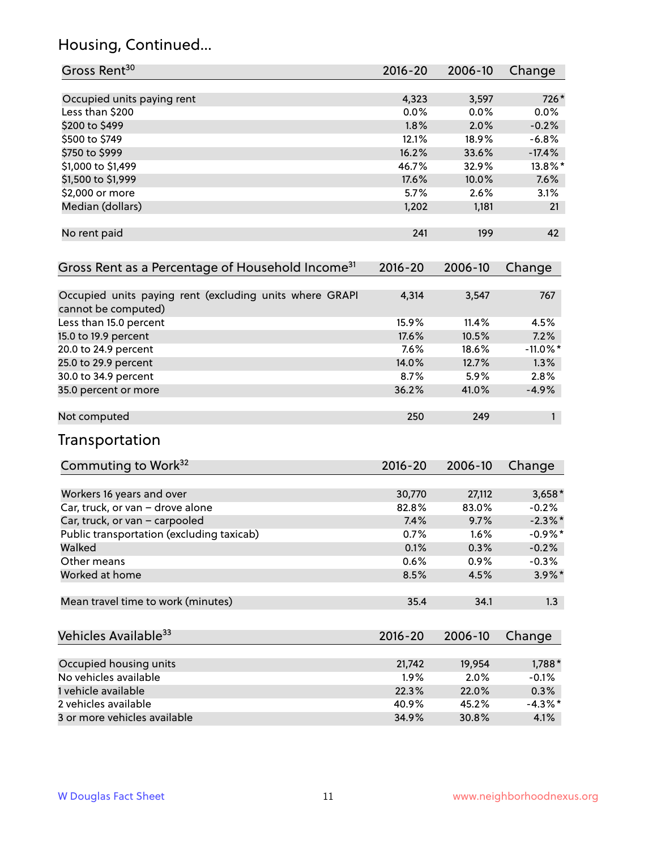## Housing, Continued...

| Gross Rent <sup>30</sup>                                                       | 2016-20 | 2006-10 | Change      |
|--------------------------------------------------------------------------------|---------|---------|-------------|
| Occupied units paying rent                                                     | 4,323   | 3,597   | 726*        |
| Less than \$200                                                                | 0.0%    | 0.0%    | 0.0%        |
| \$200 to \$499                                                                 | 1.8%    | 2.0%    | $-0.2%$     |
| \$500 to \$749                                                                 | 12.1%   | 18.9%   | $-6.8%$     |
| \$750 to \$999                                                                 | 16.2%   | 33.6%   | $-17.4%$    |
| \$1,000 to \$1,499                                                             | 46.7%   | 32.9%   | 13.8%*      |
| \$1,500 to \$1,999                                                             | 17.6%   | 10.0%   | 7.6%        |
| \$2,000 or more                                                                | 5.7%    | 2.6%    | 3.1%        |
| Median (dollars)                                                               | 1,202   | 1,181   | 21          |
|                                                                                |         |         |             |
| No rent paid                                                                   | 241     | 199     | 42          |
| Gross Rent as a Percentage of Household Income <sup>31</sup>                   | 2016-20 | 2006-10 | Change      |
| Occupied units paying rent (excluding units where GRAPI<br>cannot be computed) | 4,314   | 3,547   | 767         |
| Less than 15.0 percent                                                         | 15.9%   | 11.4%   | 4.5%        |
| 15.0 to 19.9 percent                                                           | 17.6%   | 10.5%   | 7.2%        |
| 20.0 to 24.9 percent                                                           | 7.6%    | 18.6%   | $-11.0\%$ * |
| 25.0 to 29.9 percent                                                           | 14.0%   | 12.7%   | 1.3%        |
| 30.0 to 34.9 percent                                                           | 8.7%    | 5.9%    | 2.8%        |
| 35.0 percent or more                                                           | 36.2%   | 41.0%   | $-4.9%$     |
| Not computed                                                                   | 250     | 249     | 1           |
| Transportation                                                                 |         |         |             |
| Commuting to Work <sup>32</sup>                                                | 2016-20 | 2006-10 | Change      |
| Workers 16 years and over                                                      | 30,770  | 27,112  | $3,658*$    |
| Car, truck, or van - drove alone                                               | 82.8%   | 83.0%   | $-0.2%$     |
| Car, truck, or van - carpooled                                                 | 7.4%    | 9.7%    | $-2.3\%$ *  |
| Public transportation (excluding taxicab)                                      | 0.7%    | 1.6%    | $-0.9%$ *   |
| Walked                                                                         | 0.1%    | 0.3%    | $-0.2%$     |
| Other means                                                                    | 0.6%    | 0.9%    | $-0.3%$     |
| Worked at home                                                                 | 8.5%    | 4.5%    | 3.9%*       |
| Mean travel time to work (minutes)                                             | 35.4    | 34.1    | 1.3         |
| Vehicles Available <sup>33</sup>                                               | 2016-20 | 2006-10 | Change      |
| Occupied housing units                                                         | 21,742  | 19,954  | 1,788*      |
| No vehicles available                                                          | 1.9%    | 2.0%    | $-0.1%$     |
| 1 vehicle available                                                            | 22.3%   | 22.0%   | 0.3%        |
| 2 vehicles available                                                           | 40.9%   | 45.2%   | $-4.3%$ *   |
| 3 or more vehicles available                                                   | 34.9%   | 30.8%   | 4.1%        |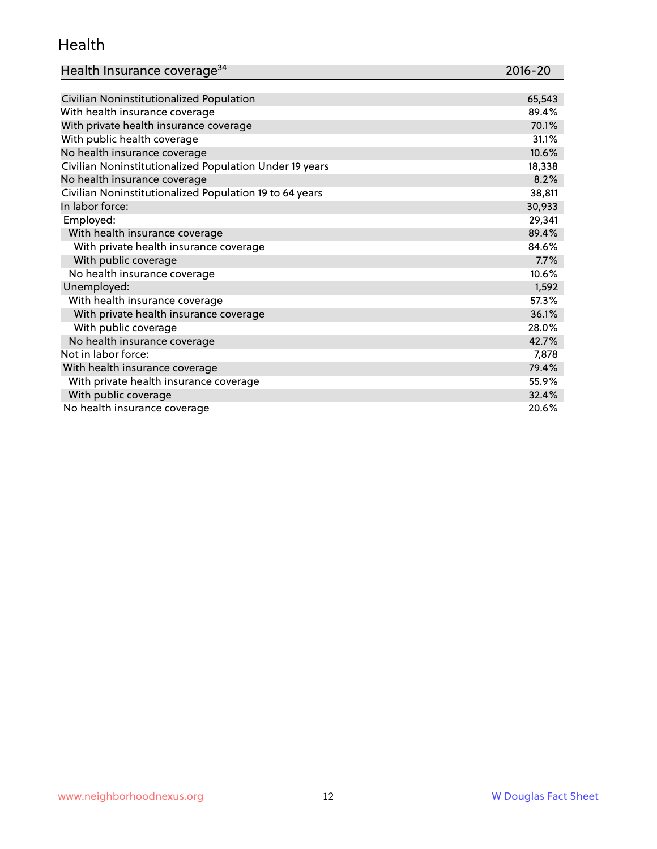#### Health

| Health Insurance coverage <sup>34</sup> | 2016-20 |
|-----------------------------------------|---------|
|-----------------------------------------|---------|

| Civilian Noninstitutionalized Population                | 65,543 |
|---------------------------------------------------------|--------|
| With health insurance coverage                          | 89.4%  |
| With private health insurance coverage                  | 70.1%  |
| With public health coverage                             | 31.1%  |
| No health insurance coverage                            | 10.6%  |
| Civilian Noninstitutionalized Population Under 19 years | 18,338 |
| No health insurance coverage                            | 8.2%   |
| Civilian Noninstitutionalized Population 19 to 64 years | 38,811 |
| In labor force:                                         | 30,933 |
| Employed:                                               | 29,341 |
| With health insurance coverage                          | 89.4%  |
| With private health insurance coverage                  | 84.6%  |
| With public coverage                                    | 7.7%   |
| No health insurance coverage                            | 10.6%  |
| Unemployed:                                             | 1,592  |
| With health insurance coverage                          | 57.3%  |
| With private health insurance coverage                  | 36.1%  |
| With public coverage                                    | 28.0%  |
| No health insurance coverage                            | 42.7%  |
| Not in labor force:                                     | 7,878  |
| With health insurance coverage                          | 79.4%  |
| With private health insurance coverage                  | 55.9%  |
| With public coverage                                    | 32.4%  |
| No health insurance coverage                            | 20.6%  |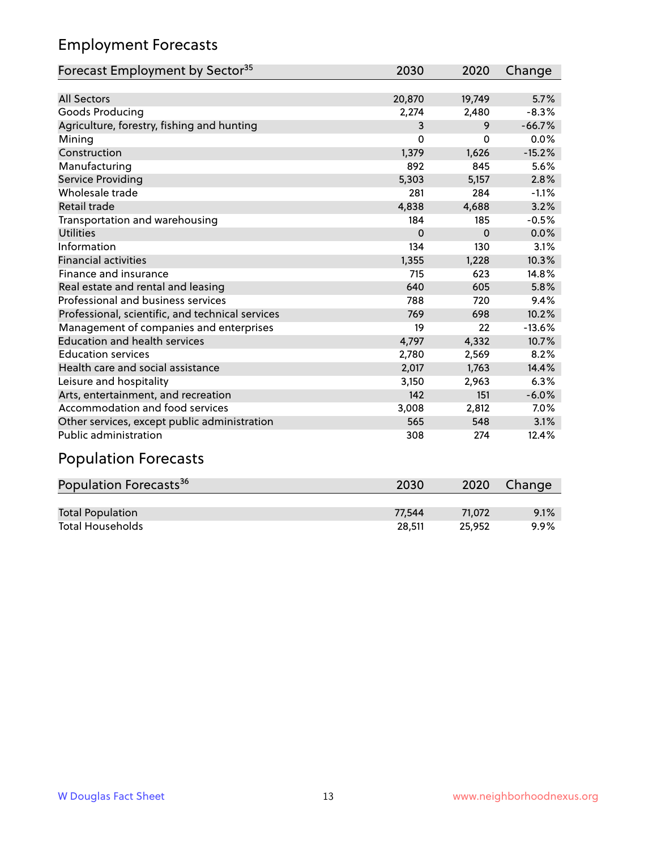## Employment Forecasts

| Forecast Employment by Sector <sup>35</sup>      | 2030     | 2020     | Change   |
|--------------------------------------------------|----------|----------|----------|
|                                                  |          |          |          |
| <b>All Sectors</b>                               | 20,870   | 19,749   | 5.7%     |
| Goods Producing                                  | 2,274    | 2,480    | $-8.3%$  |
| Agriculture, forestry, fishing and hunting       | 3        | 9        | $-66.7%$ |
| Mining                                           | $\Omega$ | $\Omega$ | 0.0%     |
| Construction                                     | 1,379    | 1,626    | $-15.2%$ |
| Manufacturing                                    | 892      | 845      | 5.6%     |
| Service Providing                                | 5,303    | 5,157    | 2.8%     |
| Wholesale trade                                  | 281      | 284      | $-1.1%$  |
| <b>Retail trade</b>                              | 4,838    | 4,688    | 3.2%     |
| Transportation and warehousing                   | 184      | 185      | $-0.5%$  |
| <b>Utilities</b>                                 | $\Omega$ | $\Omega$ | 0.0%     |
| Information                                      | 134      | 130      | 3.1%     |
| <b>Financial activities</b>                      | 1,355    | 1,228    | 10.3%    |
| Finance and insurance                            | 715      | 623      | 14.8%    |
| Real estate and rental and leasing               | 640      | 605      | 5.8%     |
| Professional and business services               | 788      | 720      | 9.4%     |
| Professional, scientific, and technical services | 769      | 698      | 10.2%    |
| Management of companies and enterprises          | 19       | 22       | $-13.6%$ |
| <b>Education and health services</b>             | 4,797    | 4,332    | 10.7%    |
| <b>Education services</b>                        | 2,780    | 2,569    | 8.2%     |
| Health care and social assistance                | 2,017    | 1,763    | 14.4%    |
| Leisure and hospitality                          | 3,150    | 2,963    | 6.3%     |
| Arts, entertainment, and recreation              | 142      | 151      | $-6.0%$  |
| Accommodation and food services                  | 3,008    | 2,812    | 7.0%     |
| Other services, except public administration     | 565      | 548      | 3.1%     |
| <b>Public administration</b>                     | 308      | 274      | 12.4%    |
| Described en Ferrenou                            |          |          |          |

#### Population Forecasts

| Population Forecasts <sup>36</sup> | 2030   | 2020   | Change |
|------------------------------------|--------|--------|--------|
|                                    |        |        |        |
| <b>Total Population</b>            | 77.544 | 71.072 | 9.1%   |
| <b>Total Households</b>            | 28.511 | 25.952 | 9.9%   |